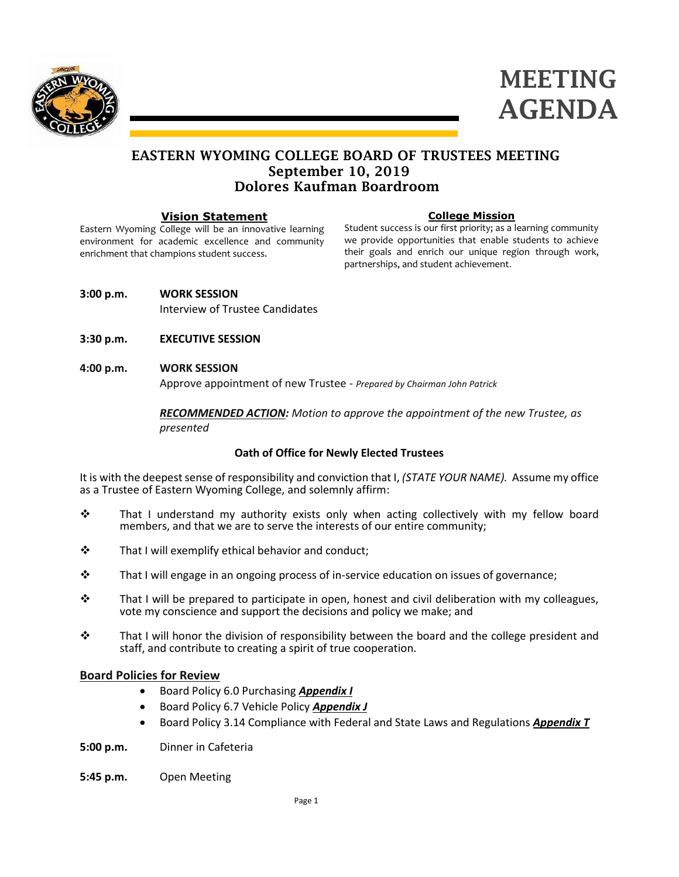

# MEETING AGENDA

### EASTERN WYOMING COLLEGE BOARD OF TRUSTEES MEETING September 10, 2019 Dolores Kaufman Boardroom

#### **Vision Statement**

Eastern Wyoming College will be an innovative learning environment for academic excellence and community enrichment that champions student success.

#### **College Mission**

Student success is our first priority; as a learning community we provide opportunities that enable students to achieve their goals and enrich our unique region through work, partnerships, and student achievement.

**3:00 p.m. WORK SESSION**

Interview of Trustee Candidates

- **3:30 p.m. EXECUTIVE SESSION**
- **4:00 p.m. WORK SESSION**

Approve appointment of new Trustee - *Prepared by Chairman John Patrick*

*RECOMMENDED ACTION: Motion to approve the appointment of the new Trustee, as presented*

#### **Oath of Office for Newly Elected Trustees**

It is with the deepest sense of responsibility and conviction that I, *(STATE YOUR NAME).* Assume my office as a Trustee of Eastern Wyoming College, and solemnly affirm:

- $\div$  That I understand my authority exists only when acting collectively with my fellow board members, and that we are to serve the interests of our entire community;
- $\mathbf{\hat{P}}$  That I will exemplify ethical behavior and conduct;
- $\mathbf{\hat{P}}$  That I will engage in an ongoing process of in-service education on issues of governance;
- $\cdot \cdot$  That I will be prepared to participate in open, honest and civil deliberation with my colleagues, vote my conscience and support the decisions and policy we make; and
- $\div$  That I will honor the division of responsibility between the board and the college president and staff, and contribute to creating a spirit of true cooperation.

#### **Board Policies for Review**

- Board Policy 6.0 Purchasing *Appendix I*
- Board Policy 6.7 Vehicle Policy *Appendix J*
- Board Policy 3.14 Compliance with Federal and State Laws and Regulations *Appendix T*
- **5:00 p.m.** Dinner in Cafeteria
- **5:45 p.m.** Open Meeting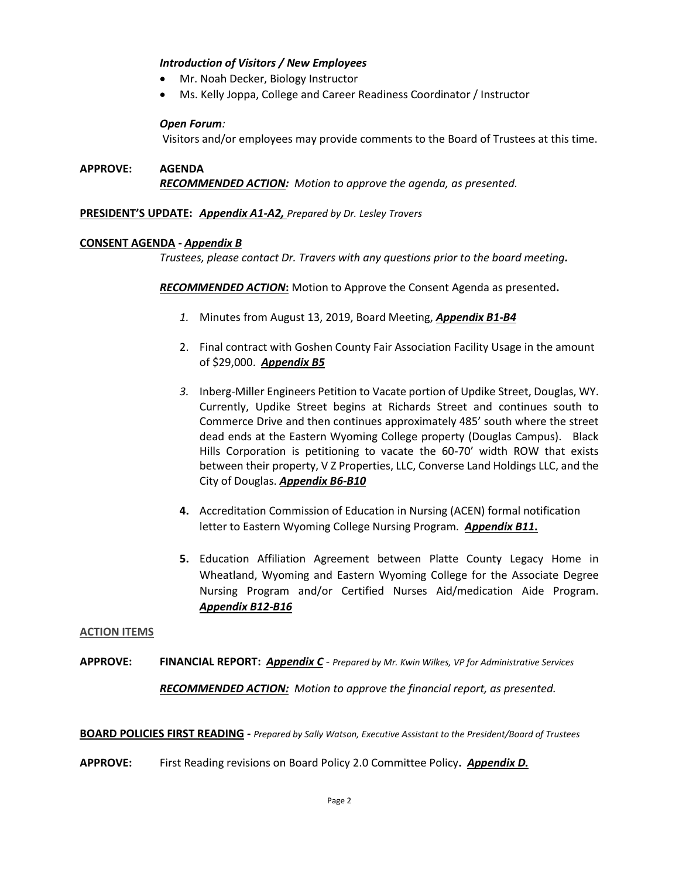#### *Introduction of Visitors / New Employees*

- Mr. Noah Decker, Biology Instructor
- Ms. Kelly Joppa, College and Career Readiness Coordinator / Instructor

#### *Open Forum:*

Visitors and/or employees may provide comments to the Board of Trustees at this time.

**APPROVE: AGENDA** *RECOMMENDED ACTION: Motion to approve the agenda, as presented.*

#### **PRESIDENT'S UPDATE:** *Appendix A1-A2, Prepared by Dr. Lesley Travers*

#### **CONSENT AGENDA -** *Appendix B*

*Trustees, please contact Dr. Travers with any questions prior to the board meeting.*

*RECOMMENDED ACTION***:** Motion to Approve the Consent Agenda as presented**.**

- *1.* Minutes from August 13, 2019, Board Meeting, *Appendix B1-B4*
- 2. Final contract with Goshen County Fair Association Facility Usage in the amount of \$29,000. *Appendix B5*
- *3.* Inberg-Miller Engineers Petition to Vacate portion of Updike Street, Douglas, WY. Currently, Updike Street begins at Richards Street and continues south to Commerce Drive and then continues approximately 485' south where the street dead ends at the Eastern Wyoming College property (Douglas Campus). Black Hills Corporation is petitioning to vacate the 60-70' width ROW that exists between their property, V Z Properties, LLC, Converse Land Holdings LLC, and the City of Douglas. *Appendix B6-B10*
- **4.** Accreditation Commission of Education in Nursing (ACEN) formal notification letter to Eastern Wyoming College Nursing Program*. Appendix B11***.**
- **5.** Education Affiliation Agreement between Platte County Legacy Home in Wheatland, Wyoming and Eastern Wyoming College for the Associate Degree Nursing Program and/or Certified Nurses Aid/medication Aide Program. *Appendix B12-B16*

#### **ACTION ITEMS**

**APPROVE: FINANCIAL REPORT:** *Appendix C* - *Prepared by Mr. Kwin Wilkes, VP for Administrative Services RECOMMENDED ACTION: Motion to approve the financial report, as presented.*

**BOARD POLICIES FIRST READING -** *Prepared by Sally Watson, Executive Assistant to the President/Board of Trustees*

**APPROVE:** First Reading revisions on Board Policy 2.0 Committee Policy**.** *Appendix D.*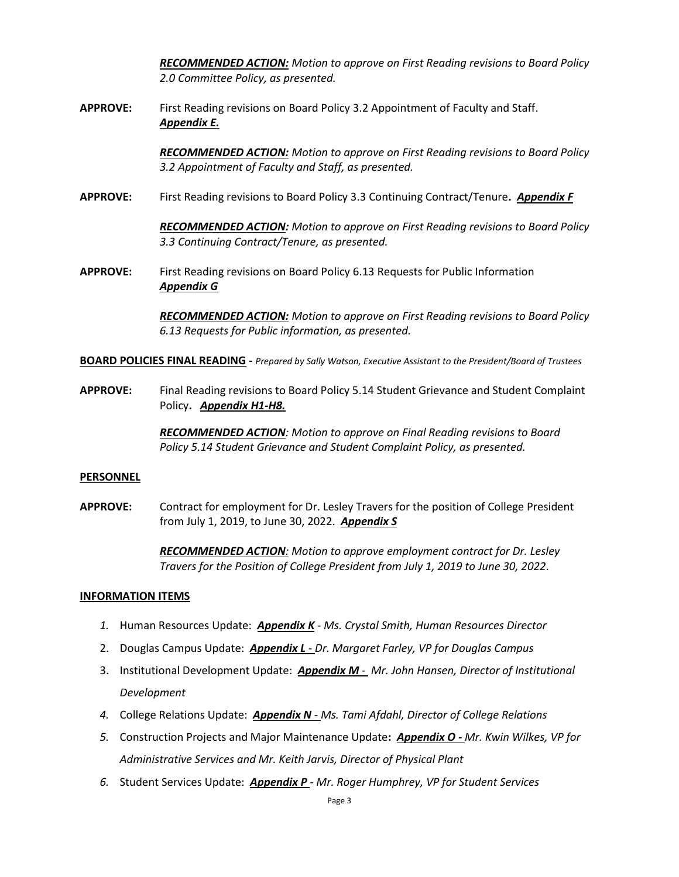*RECOMMENDED ACTION: Motion to approve on First Reading revisions to Board Policy 2.0 Committee Policy, as presented.*

**APPROVE:** First Reading revisions on Board Policy 3.2 Appointment of Faculty and Staff. *Appendix E.*

> *RECOMMENDED ACTION: Motion to approve on First Reading revisions to Board Policy 3.2 Appointment of Faculty and Staff, as presented.*

**APPROVE:** First Reading revisions to Board Policy 3.3 Continuing Contract/Tenure**.** *Appendix F*

*RECOMMENDED ACTION: Motion to approve on First Reading revisions to Board Policy 3.3 Continuing Contract/Tenure, as presented.*

**APPROVE:** First Reading revisions on Board Policy 6.13 Requests for Public Information *Appendix G*

> *RECOMMENDED ACTION: Motion to approve on First Reading revisions to Board Policy 6.13 Requests for Public information, as presented.*

**BOARD POLICIES FINAL READING -** *Prepared by Sally Watson, Executive Assistant to the President/Board of Trustees*

**APPROVE:** Final Reading revisions to Board Policy 5.14 Student Grievance and Student Complaint Policy**.** *Appendix H1-H8.*

> *RECOMMENDED ACTION: Motion to approve on Final Reading revisions to Board Policy 5.14 Student Grievance and Student Complaint Policy, as presented.*

#### **PERSONNEL**

**APPROVE:** Contract for employment for Dr. Lesley Travers for the position of College President from July 1, 2019, to June 30, 2022. *Appendix S*

> *RECOMMENDED ACTION: Motion to approve employment contract for Dr. Lesley Travers for the Position of College President from July 1, 2019 to June 30, 2022.*

#### **INFORMATION ITEMS**

- *1.* Human Resources Update: *Appendix K Ms. Crystal Smith, Human Resources Director*
- 2. Douglas Campus Update: *Appendix L - Dr. Margaret Farley, VP for Douglas Campus*
- 3. Institutional Development Update: *Appendix M - Mr. John Hansen, Director of Institutional Development*
- *4.* College Relations Update: *Appendix N - Ms. Tami Afdahl, Director of College Relations*
- *5.* Construction Projects and Major Maintenance Update**:** *Appendix O - Mr. Kwin Wilkes, VP for Administrative Services and Mr. Keith Jarvis, Director of Physical Plant*
- *6.* Student Services Update: *Appendix P - Mr. Roger Humphrey, VP for Student Services*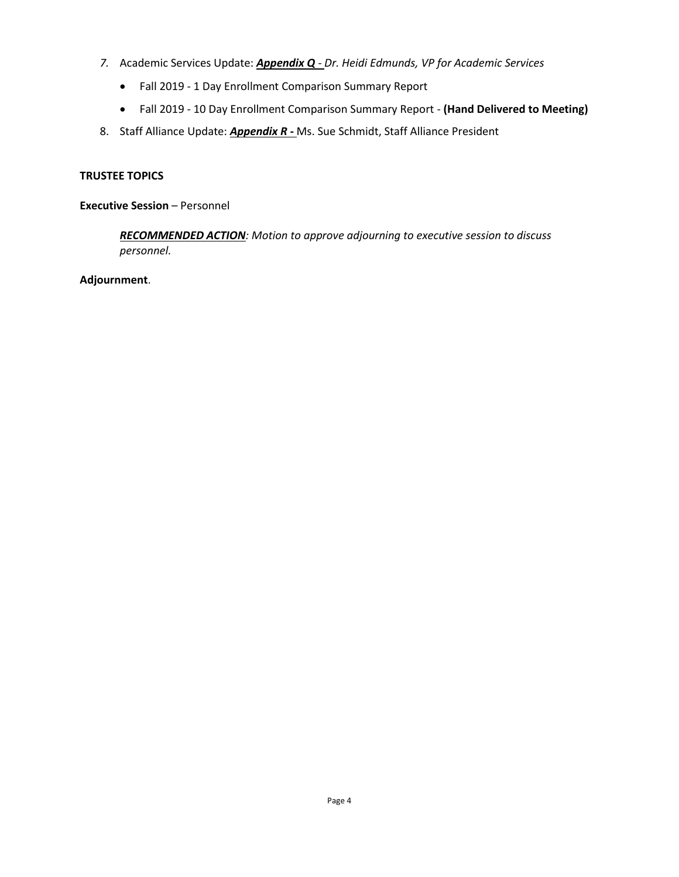- *7.* Academic Services Update: *Appendix Q - Dr. Heidi Edmunds, VP for Academic Services*
	- Fall 2019 1 Day Enrollment Comparison Summary Report
	- Fall 2019 10 Day Enrollment Comparison Summary Report **(Hand Delivered to Meeting)**
- 8. Staff Alliance Update: *Appendix R -* Ms. Sue Schmidt, Staff Alliance President

#### **TRUSTEE TOPICS**

**Executive Session** – Personnel

*RECOMMENDED ACTION: Motion to approve adjourning to executive session to discuss personnel.*

**Adjournment**.